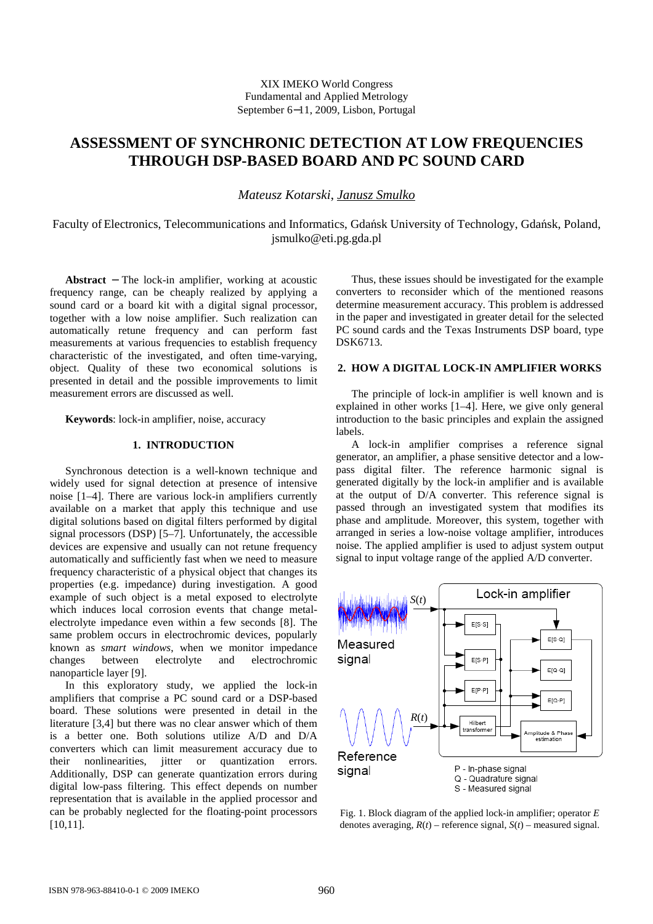# **ASSESSMENT OF SYNCHRONIC DETECTION AT LOW FREQUENCIES THROUGH DSP-BASED BOARD AND PC SOUND CARD**

*Mateusz Kotarski*, *Janusz Smulko*

Faculty of Electronics, Telecommunications and Informatics, Gdańsk University of Technology, Gdańsk, Poland, jsmulko@eti.pg.gda.pl

**Abstract** − The lock-in amplifier, working at acoustic frequency range, can be cheaply realized by applying a sound card or a board kit with a digital signal processor, together with a low noise amplifier. Such realization can automatically retune frequency and can perform fast measurements at various frequencies to establish frequency characteristic of the investigated, and often time-varying, object. Quality of these two economical solutions is presented in detail and the possible improvements to limit measurement errors are discussed as well.

**Keywords**: lock-in amplifier, noise, accuracy

### **1. INTRODUCTION**

Synchronous detection is a well-known technique and widely used for signal detection at presence of intensive noise [1–4]. There are various lock-in amplifiers currently available on a market that apply this technique and use digital solutions based on digital filters performed by digital signal processors (DSP) [5–7]. Unfortunately, the accessible devices are expensive and usually can not retune frequency automatically and sufficiently fast when we need to measure frequency characteristic of a physical object that changes its properties (e.g. impedance) during investigation. A good example of such object is a metal exposed to electrolyte which induces local corrosion events that change metalelectrolyte impedance even within a few seconds [8]. The same problem occurs in electrochromic devices, popularly known as *smart windows*, when we monitor impedance changes between electrolyte and electrochromic nanoparticle layer [9].

In this exploratory study, we applied the lock-in amplifiers that comprise a PC sound card or a DSP-based board. These solutions were presented in detail in the literature [3,4] but there was no clear answer which of them is a better one. Both solutions utilize A/D and D/A converters which can limit measurement accuracy due to their nonlinearities, jitter or quantization errors. Additionally, DSP can generate quantization errors during digital low-pass filtering. This effect depends on number representation that is available in the applied processor and can be probably neglected for the floating-point processors [10,11].

Thus, these issues should be investigated for the example converters to reconsider which of the mentioned reasons determine measurement accuracy. This problem is addressed in the paper and investigated in greater detail for the selected PC sound cards and the Texas Instruments DSP board, type DSK6713.

## **2. HOW A DIGITAL LOCK-IN AMPLIFIER WORKS**

The principle of lock-in amplifier is well known and is explained in other works [1–4]. Here, we give only general introduction to the basic principles and explain the assigned labels.

A lock-in amplifier comprises a reference signal generator, an amplifier, a phase sensitive detector and a lowpass digital filter. The reference harmonic signal is generated digitally by the lock-in amplifier and is available at the output of D/A converter. This reference signal is passed through an investigated system that modifies its phase and amplitude. Moreover, this system, together with arranged in series a low-noise voltage amplifier, introduces noise. The applied amplifier is used to adjust system output signal to input voltage range of the applied A/D converter.



Fig. 1. Block diagram of the applied lock-in amplifier; operator *E* denotes averaging,  $R(t)$  – reference signal,  $S(t)$  – measured signal.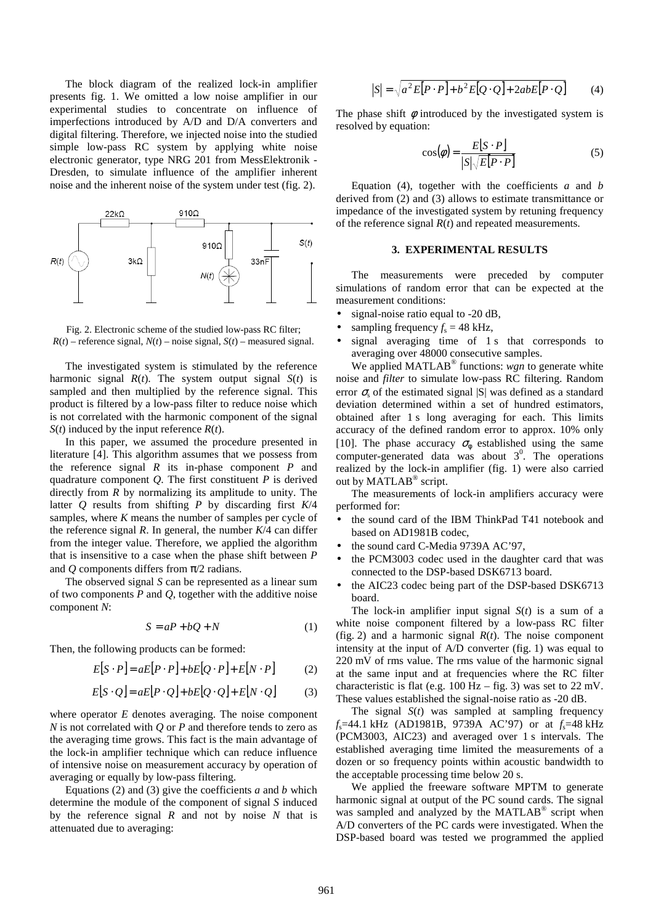The block diagram of the realized lock-in amplifier presents fig. 1. We omitted a low noise amplifier in our experimental studies to concentrate on influence of imperfections introduced by A/D and D/A converters and digital filtering. Therefore, we injected noise into the studied simple low-pass RC system by applying white noise electronic generator, type NRG 201 from MessElektronik - Dresden, to simulate influence of the amplifier inherent noise and the inherent noise of the system under test (fig. 2).



Fig. 2. Electronic scheme of the studied low-pass RC filter;  $R(t)$  – reference signal,  $N(t)$  – noise signal,  $S(t)$  – measured signal.

The investigated system is stimulated by the reference harmonic signal  $R(t)$ . The system output signal  $S(t)$  is sampled and then multiplied by the reference signal. This product is filtered by a low-pass filter to reduce noise which is not correlated with the harmonic component of the signal *S*(*t*) induced by the input reference *R*(*t*).

In this paper, we assumed the procedure presented in literature [4]. This algorithm assumes that we possess from the reference signal *R* its in-phase component *P* and quadrature component *Q*. The first constituent *P* is derived directly from *R* by normalizing its amplitude to unity. The latter *Q* results from shifting *P* by discarding first *K*/4 samples, where *K* means the number of samples per cycle of the reference signal  $R$ . In general, the number  $K/4$  can differ from the integer value. Therefore, we applied the algorithm that is insensitive to a case when the phase shift between *P* and *Q* components differs from π/2 radians.

The observed signal *S* can be represented as a linear sum of two components *P* and *Q*, together with the additive noise component *N*:

$$
S = aP + bQ + N \tag{1}
$$

Then, the following products can be formed:

$$
E[S \cdot P] = aE[P \cdot P] + bE[Q \cdot P] + E[N \cdot P]
$$
 (2)

$$
E[S \cdot Q] = aE[P \cdot Q] + bE[Q \cdot Q] + E[N \cdot Q]
$$
 (3)

where operator *E* denotes averaging. The noise component *N* is not correlated with *Q* or *P* and therefore tends to zero as the averaging time grows. This fact is the main advantage of the lock-in amplifier technique which can reduce influence of intensive noise on measurement accuracy by operation of averaging or equally by low-pass filtering.

Equations (2) and (3) give the coefficients *a* and *b* which determine the module of the component of signal *S* induced by the reference signal *R* and not by noise *N* that is attenuated due to averaging:

$$
|S| = \sqrt{a^2 E[P \cdot P] + b^2 E[Q \cdot Q] + 2abE[P \cdot Q]}
$$
 (4)

The phase shift  $\phi$  introduced by the investigated system is resolved by equation:

$$
\cos(\phi) = \frac{E[S \cdot P]}{|S| \sqrt{E[P \cdot P]}}
$$
(5)

Equation (4), together with the coefficients *a* and *b* derived from (2) and (3) allows to estimate transmittance or impedance of the investigated system by retuning frequency of the reference signal *R*(*t*) and repeated measurements.

#### **3. EXPERIMENTAL RESULTS**

The measurements were preceded by computer simulations of random error that can be expected at the measurement conditions:

- signal-noise ratio equal to -20 dB,
- sampling frequency  $f_s = 48$  kHz,
- signal averaging time of 1 s that corresponds to averaging over 48000 consecutive samples.

We applied MATLAB<sup>®</sup> functions: wgn to generate white noise and *filter* to simulate low-pass RC filtering. Random error  $\sigma_s$  of the estimated signal  $|S|$  was defined as a standard deviation determined within a set of hundred estimators, obtained after 1 s long averaging for each. This limits accuracy of the defined random error to approx. 10% only [10]. The phase accuracy  $\sigma_{\phi}$  established using the same computer-generated data was about  $3^0$ . The operations realized by the lock-in amplifier (fig. 1) were also carried out by MATLAB<sup>®</sup> script.

The measurements of lock-in amplifiers accuracy were performed for:

- the sound card of the IBM ThinkPad T41 notebook and based on AD1981B codec,
- the sound card C-Media 9739A AC'97,
- the PCM3003 codec used in the daughter card that was connected to the DSP-based DSK6713 board.
- the AIC23 codec being part of the DSP-based DSK6713 board.

The lock-in amplifier input signal  $S(t)$  is a sum of a white noise component filtered by a low-pass RC filter (fig. 2) and a harmonic signal *R*(*t*). The noise component intensity at the input of A/D converter (fig. 1) was equal to 220 mV of rms value. The rms value of the harmonic signal at the same input and at frequencies where the RC filter characteristic is flat (e.g.  $100 \text{ Hz} - \text{fig}$ ) was set to  $22 \text{ mV}$ . These values established the signal-noise ratio as -20 dB.

The signal *S*(*t*) was sampled at sampling frequency *f*s=44.1 kHz (AD1981B, 9739A AC'97) or at *f*s=48 kHz (PCM3003, AIC23) and averaged over 1 s intervals. The established averaging time limited the measurements of a dozen or so frequency points within acoustic bandwidth to the acceptable processing time below 20 s.

We applied the freeware software MPTM to generate harmonic signal at output of the PC sound cards. The signal was sampled and analyzed by the MATLAB® script when A/D converters of the PC cards were investigated. When the DSP-based board was tested we programmed the applied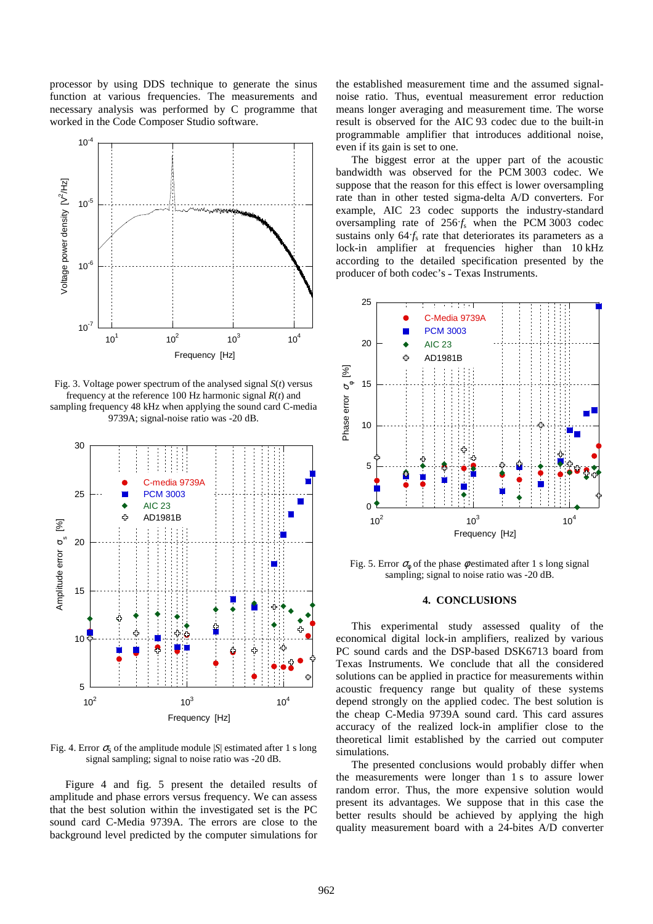processor by using DDS technique to generate the sinus function at various frequencies. The measurements and necessary analysis was performed by C programme that worked in the Code Composer Studio software.



Fig. 3. Voltage power spectrum of the analysed signal *S*(*t*) versus frequency at the reference 100 Hz harmonic signal *R*(*t*) and sampling frequency 48 kHz when applying the sound card C-media 9739A; signal-noise ratio was -20 dB.



Fig. 4. Error  $\sigma_s$  of the amplitude module  $|S|$  estimated after 1 s long signal sampling; signal to noise ratio was -20 dB.

Figure 4 and fig. 5 present the detailed results of amplitude and phase errors versus frequency. We can assess that the best solution within the investigated set is the PC sound card C-Media 9739A. The errors are close to the background level predicted by the computer simulations for the established measurement time and the assumed signalnoise ratio. Thus, eventual measurement error reduction means longer averaging and measurement time. The worse result is observed for the AIC 93 codec due to the built-in programmable amplifier that introduces additional noise, even if its gain is set to one.

The biggest error at the upper part of the acoustic bandwidth was observed for the PCM 3003 codec. We suppose that the reason for this effect is lower oversampling rate than in other tested sigma-delta A/D converters. For example, AIC 23 codec supports the industry-standard oversampling rate of  $256f_s$  when the PCM 3003 codec sustains only  $64f_s$  rate that deteriorates its parameters as a lock-in amplifier at frequencies higher than 10 kHz according to the detailed specification presented by the producer of both codec's - Texas Instruments.



Fig. 5. Error  $\sigma_{\phi}$  of the phase  $\phi$  estimated after 1 s long signal sampling; signal to noise ratio was -20 dB.

#### **4. CONCLUSIONS**

This experimental study assessed quality of the economical digital lock-in amplifiers, realized by various PC sound cards and the DSP-based DSK6713 board from Texas Instruments. We conclude that all the considered solutions can be applied in practice for measurements within acoustic frequency range but quality of these systems depend strongly on the applied codec. The best solution is the cheap C-Media 9739A sound card. This card assures accuracy of the realized lock-in amplifier close to the theoretical limit established by the carried out computer simulations.

The presented conclusions would probably differ when the measurements were longer than 1 s to assure lower random error. Thus, the more expensive solution would present its advantages. We suppose that in this case the better results should be achieved by applying the high quality measurement board with a 24-bites A/D converter